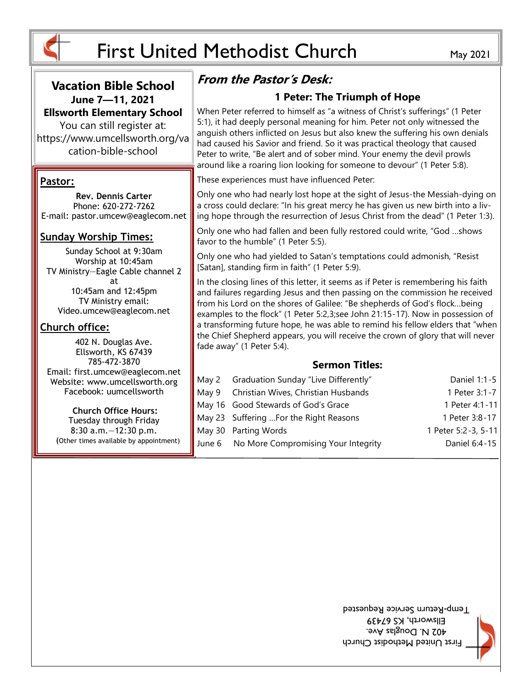

## **Vacation Bible School June 7—11, 2021 Ellsworth Elementary School**

You can still register at: https://www.umcellsworth.org/va cation-bible-school

### **Pastor:**

**Rev. Dennis Carter** Phone: 620-272-7262 E-mail: pastor.umcew@eaglecom.net

### **Sunday Worship Times:**

Sunday School at 9:30am Worship at 10:45am TV Ministry—Eagle Cable channel 2 at 10:45am and 12:45pm TV Ministry email: Video.umcew@eaglecom.net

### **Church office:**

402 N. Douglas Ave. Ellsworth, KS 67439 785-472-3870 Email: first.umcew@eaglecom.net Website: www.umcellsworth.org Facebook: uumcellsworth

**Church Office Hours:** Tuesday through Friday 8:30 a.m.—12:30 p.m. (Other times available by appointment)

# **From the Pastor's Desk:**

## **1 Peter: The Triumph of Hope**

When Peter referred to himself as "a witness of Christ's sufferings" (1 Peter 5:1), it had deeply personal meaning for him. Peter not only witnessed the anguish others inflicted on Jesus but also knew the suffering his own denials had caused his Savior and friend. So it was practical theology that caused Peter to write, "Be alert and of sober mind. Your enemy the devil prowls around like a roaring lion looking for someone to devour" (1 Peter 5:8).

These experiences must have influenced Peter:

Only one who had nearly lost hope at the sight of Jesus-the Messiah-dying on a cross could declare: "In his great mercy he has given us new birth into a living hope through the resurrection of Jesus Christ from the dead" (1 Peter 1:3).

Only one who had fallen and been fully restored could write, "God …shows favor to the humble" (1 Peter 5:5).

Only one who had yielded to Satan's temptations could admonish, "Resist [Satan], standing firm in faith" (1 Peter 5:9).

In the closing lines of this letter, it seems as if Peter is remembering his faith and failures regarding Jesus and then passing on the commission he received from his Lord on the shores of Galilee: "Be shepherds of God's flock…being examples to the flock" (1 Peter 5:2,3;see John 21:15-17). Now in possession of a transforming future hope, he was able to remind his fellow elders that "when the Chief Shepherd appears, you will receive the crown of glory that will never fade away" (1 Peter 5:4).

### **Sermon Titles:**

| May 2 Graduation Sunday "Live Differently" | Daniel 1:1-5        |
|--------------------------------------------|---------------------|
| May 9 Christian Wives, Christian Husbands  | 1 Peter 3:1-7       |
| May 16 Good Stewards of God's Grace        | 1 Peter 4:1-11      |
| May 23 Suffering For the Right Reasons     | 1 Peter 3:8-17      |
| May 30 Parting Words                       | 1 Peter 5:2-3, 5-11 |
| June 6 No More Compromising Your Integrity | Daniel 6:4-15       |

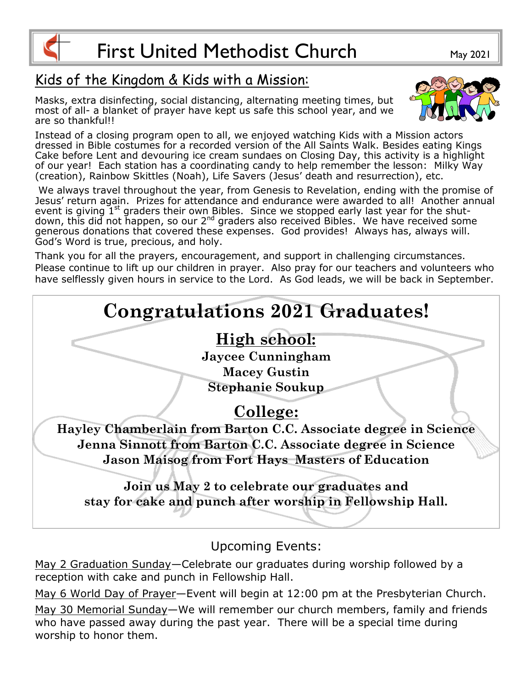

# Kids of the Kingdom & Kids with a Mission:

Masks, extra disinfecting, social distancing, alternating meeting times, but most of all- a blanket of prayer have kept us safe this school year, and we are so thankful!!



Instead of a closing program open to all, we enjoyed watching Kids with a Mission actors dressed in Bible costumes for a recorded version of the All Saints Walk. Besides eating Kings Cake before Lent and devouring ice cream sundaes on Closing Day, this activity is a highlight of our year! Each station has a coordinating candy to help remember the lesson: Milky Way (creation), Rainbow Skittles (Noah), Life Savers (Jesus' death and resurrection), etc.

We always travel throughout the year, from Genesis to Revelation, ending with the promise of Jesus' return again. Prizes for attendance and endurance were awarded to all! Another annual event is giving  $1^{st}$  graders their own Bibles. Since we stopped early last year for the shutdown, this did not happen, so our 2<sup>nd</sup> graders also received Bibles. We have received some generous donations that covered these expenses. God provides! Always has, always will. God's Word is true, precious, and holy.

Thank you for all the prayers, encouragement, and support in challenging circumstances. Please continue to lift up our children in prayer. Also pray for our teachers and volunteers who have selflessly given hours in service to the Lord. As God leads, we will be back in September.



Upcoming Events:

May 2 Graduation Sunday—Celebrate our graduates during worship followed by a reception with cake and punch in Fellowship Hall.

May 6 World Day of Prayer—Event will begin at 12:00 pm at the Presbyterian Church.

May 30 Memorial Sunday—We will remember our church members, family and friends who have passed away during the past year. There will be a special time during worship to honor them.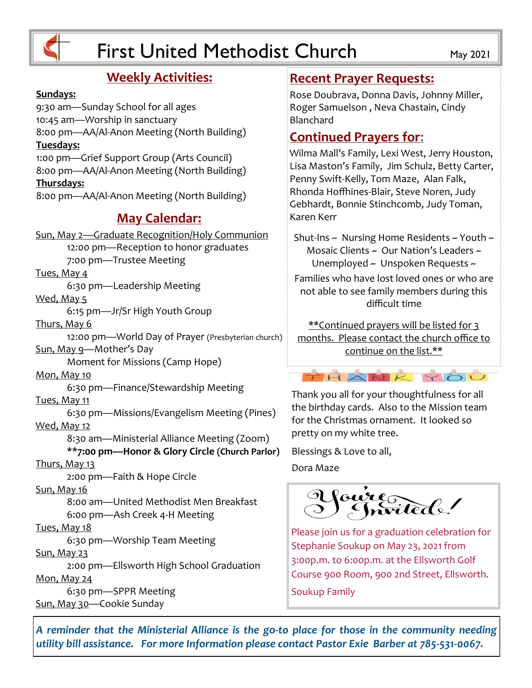

# **Weekly Activities:**

#### **Sundays:**

9:30 am—Sunday School for all ages 10:45 am—Worship in sanctuary 8:00 pm—AA/Al-Anon Meeting (North Building) **Tuesdays:** 1:00 pm—Grief Support Group (Arts Council) 8:00 pm—AA/Al-Anon Meeting (North Building) **Thursdays:** 8:00 pm—AA/Al-Anon Meeting (North Building) **May Calendar:** Sun, May 2—Graduate Recognition/Holy Communion 12:00 pm—Reception to honor graduates 7:00 pm—Trustee Meeting Tues, May 4 6:30 pm—Leadership Meeting

Wed, May 5

6:15 pm—Jr/Sr High Youth Group

Thurs, May 6

12:00 pm—World Day of Prayer (Presbyterian church) Sun, May 9—Mother's Day

Moment for Missions (Camp Hope)

Mon, May 10

6:30 pm—Finance/Stewardship Meeting

Tues, May 11

6:30 pm—Missions/Evangelism Meeting (Pines) Wed, May 12

> 8:30 am—Ministerial Alliance Meeting (Zoom) **\*\*7:00 pm—Honor & Glory Circle (Church Parlor)**

#### Thurs, May 13

2:00 pm—Faith & Hope Circle

#### Sun, May 16

8:00 am—United Methodist Men Breakfast 6:00 pm—Ash Creek 4-H Meeting

#### Tues, May 18

6:30 pm—Worship Team Meeting

#### Sun, May 23

2:00 pm—Ellsworth High School Graduation Mon, May 24

6:30 pm—SPPR Meeting Sun, May 30—Cookie Sunday

## **Recent Prayer Requests:**

Rose Doubrava, Donna Davis, Johnny Miller, Roger Samuelson , Neva Chastain, Cindy Blanchard

## **Continued Prayers for**:

Wilma Mall's Family, Lexi West, Jerry Houston, Lisa Maston's Family, Jim Schulz, Betty Carter, Penny Swift-Kelly, Tom Maze, Alan Falk, Rhonda Hoffhines-Blair, Steve Noren, Judy Gebhardt, Bonnie Stinchcomb, Judy Toman, Karen Kerr

Shut-Ins  $\sim$  Nursing Home Residents  $\sim$  Youth  $\sim$ Mosaic Clients ~ Our Nation's Leaders ~ Unemployed ~ Unspoken Requests ~

Families who have lost loved ones or who are not able to see family members during this difficult time

\*\*Continued prayers will be listed for 3 months. Please contact the church office to continue on the list.\*\*

## THANK YOU

Thank you all for your thoughtfulness for all the birthday cards. Also to the Mission team for the Christmas ornament. It looked so pretty on my white tree.

Blessings & Love to all, Dora Maze

foure de 1

Please join us for a graduation celebration for Stephanie Soukup on May 23, 2021 from 3:00p.m. to 6:00p.m. at the Ellsworth Golf Course 900 Room, 900 2nd Street, Ellsworth.

Soukup Family

*A reminder that the Ministerial Alliance is the go-to place for those in the community needing utility bill assistance. For more Information please contact Pastor Exie Barber at 785-531-0067.*